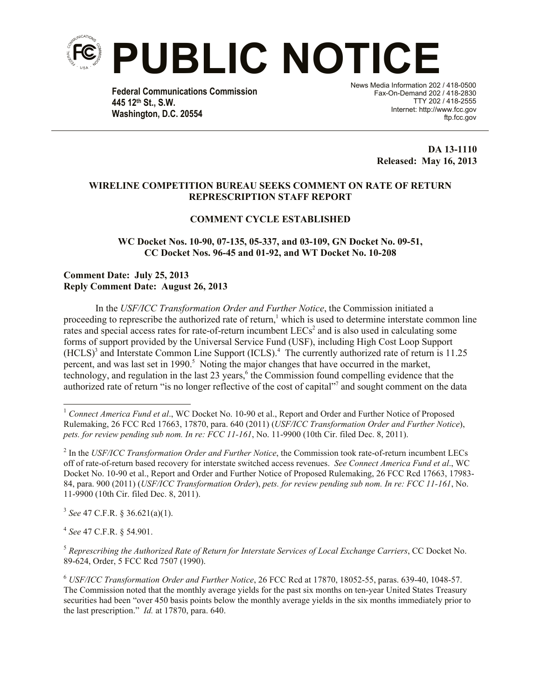

**Federal Communications Commission 445 12th St., S.W. Washington, D.C. 20554**

News Media Information 202 / 418-0500 Fax-On-Demand 202 / 418-2830 TTY 202 / 418-2555 Internet: http://www.fcc.gov ftp.fcc.gov

> **DA 13-1110 Released: May 16, 2013**

## **WIRELINE COMPETITION BUREAU SEEKS COMMENT ON RATE OF RETURN REPRESCRIPTION STAFF REPORT**

## **COMMENT CYCLE ESTABLISHED**

**WC Docket Nos. 10-90, 07-135, 05-337, and 03-109, GN Docket No. 09-51, CC Docket Nos. 96-45 and 01-92, and WT Docket No. 10-208**

## **Comment Date: July 25, 2013 Reply Comment Date: August 26, 2013**

In the *USF/ICC Transformation Order and Further Notice*, the Commission initiated a proceeding to represcribe the authorized rate of return,<sup>1</sup> which is used to determine interstate common line rates and special access rates for rate-of-return incumbent LECs<sup>2</sup> and is also used in calculating some forms of support provided by the Universal Service Fund (USF), including High Cost Loop Support  $(HCLS)^3$  and Interstate Common Line Support (ICLS).<sup>4</sup> The currently authorized rate of return is 11.25 percent, and was last set in 1990.<sup>5</sup> Noting the major changes that have occurred in the market, technology, and regulation in the last 23 years,<sup>6</sup> the Commission found compelling evidence that the authorized rate of return "is no longer reflective of the cost of capital"<sup>7</sup> and sought comment on the data

3 *See* 47 C.F.R. § 36.621(a)(1).

4 *See* 47 C.F.R. § 54.901.

 $\overline{\phantom{a}}$ 

<sup>5</sup> *Represcribing the Authorized Rate of Return for Interstate Services of Local Exchange Carriers*, CC Docket No. 89-624, Order, 5 FCC Rcd 7507 (1990).

<sup>6</sup> *USF/ICC Transformation Order and Further Notice*, 26 FCC Rcd at 17870, 18052-55, paras. 639-40, 1048-57. The Commission noted that the monthly average yields for the past six months on ten-year United States Treasury securities had been "over 450 basis points below the monthly average yields in the six months immediately prior to the last prescription." *Id.* at 17870, para. 640.

<sup>&</sup>lt;sup>1</sup> Connect America Fund et al., WC Docket No. 10-90 et al., Report and Order and Further Notice of Proposed Rulemaking, 26 FCC Rcd 17663, 17870, para. 640 (2011) (*USF/ICC Transformation Order and Further Notice*), *pets. for review pending sub nom. In re: FCC 11-161*, No. 11-9900 (10th Cir. filed Dec. 8, 2011).

<sup>2</sup> In the *USF/ICC Transformation Order and Further Notice*, the Commission took rate-of-return incumbent LECs off of rate-of-return based recovery for interstate switched access revenues. *See Connect America Fund et al*., WC Docket No. 10-90 et al., Report and Order and Further Notice of Proposed Rulemaking, 26 FCC Rcd 17663, 17983- 84, para. 900 (2011) (*USF/ICC Transformation Order*), *pets. for review pending sub nom. In re: FCC 11-161*, No. 11-9900 (10th Cir. filed Dec. 8, 2011).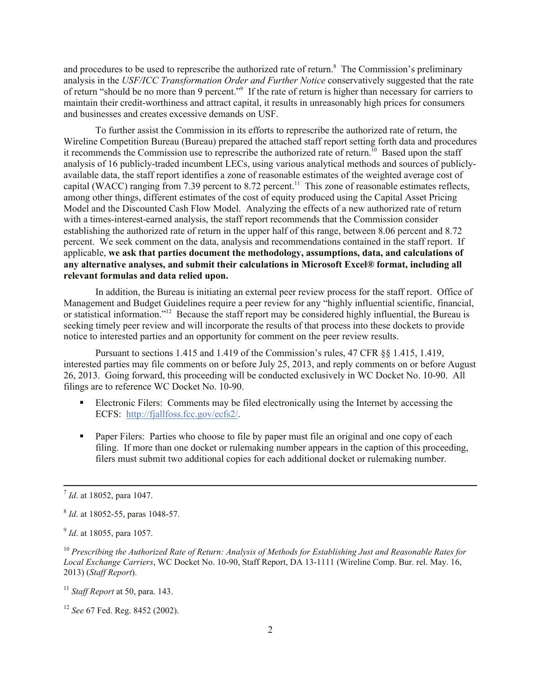and procedures to be used to represcribe the authorized rate of return. 8 The Commission's preliminary analysis in the *USF/ICC Transformation Order and Further Notice* conservatively suggested that the rate of return "should be no more than 9 percent."<sup>9</sup> If the rate of return is higher than necessary for carriers to maintain their credit-worthiness and attract capital, it results in unreasonably high prices for consumers and businesses and creates excessive demands on USF.

To further assist the Commission in its efforts to represcribe the authorized rate of return, the Wireline Competition Bureau (Bureau) prepared the attached staff report setting forth data and procedures it recommends the Commission use to represcribe the authorized rate of return.<sup>10</sup> Based upon the staff analysis of 16 publicly-traded incumbent LECs, using various analytical methods and sources of publiclyavailable data, the staff report identifies a zone of reasonable estimates of the weighted average cost of capital (WACC) ranging from 7.39 percent to 8.72 percent.<sup>11</sup> This zone of reasonable estimates reflects, among other things, different estimates of the cost of equity produced using the Capital Asset Pricing Model and the Discounted Cash Flow Model. Analyzing the effects of a new authorized rate of return with a times-interest-earned analysis, the staff report recommends that the Commission consider establishing the authorized rate of return in the upper half of this range, between 8.06 percent and 8.72 percent. We seek comment on the data, analysis and recommendations contained in the staff report. If applicable, **we ask that parties document the methodology, assumptions, data, and calculations of any alternative analyses, and submit their calculations in Microsoft Excel® format, including all relevant formulas and data relied upon.** 

In addition, the Bureau is initiating an external peer review process for the staff report. Office of Management and Budget Guidelines require a peer review for any "highly influential scientific, financial, or statistical information."<sup>12</sup> Because the staff report may be considered highly influential, the Bureau is seeking timely peer review and will incorporate the results of that process into these dockets to provide notice to interested parties and an opportunity for comment on the peer review results.

Pursuant to sections 1.415 and 1.419 of the Commission's rules, 47 CFR §§ 1.415, 1.419, interested parties may file comments on or before July 25, 2013, and reply comments on or before August 26, 2013. Going forward, this proceeding will be conducted exclusively in WC Docket No. 10-90. All filings are to reference WC Docket No. 10-90.

- Electronic Filers: Comments may be filed electronically using the Internet by accessing the ECFS: http://fjallfoss.fcc.gov/ecfs2/.
- **Paper Filers:** Parties who choose to file by paper must file an original and one copy of each filing. If more than one docket or rulemaking number appears in the caption of this proceeding, filers must submit two additional copies for each additional docket or rulemaking number.

l

<sup>7</sup> *Id*. at 18052, para 1047.

<sup>8</sup> *Id*. at 18052-55, paras 1048-57.

<sup>9</sup> *Id*. at 18055, para 1057.

<sup>10</sup> *Prescribing the Authorized Rate of Return: Analysis of Methods for Establishing Just and Reasonable Rates for Local Exchange Carriers*, WC Docket No. 10-90, Staff Report, DA 13-1111 (Wireline Comp. Bur. rel. May. 16, 2013) (*Staff Report*).

<sup>11</sup> *Staff Report* at 50, para. 143.

<sup>12</sup> *See* 67 Fed. Reg. 8452 (2002).